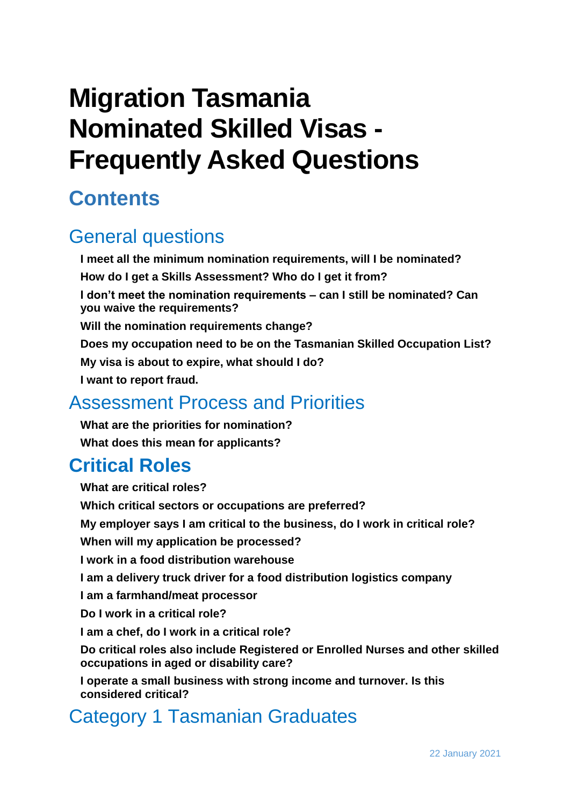# **Migration Tasmania Nominated Skilled Visas - Frequently Asked Questions**

# **Contents**

# [General questions](#page-2-0)

**[I meet all the minimum nomination requirements, will I be nominated?](#page-2-1) [How do I get a Skills Assessment? Who do I get it from?](#page-3-0) [I don't meet the nomination requirements –](#page-3-1) can I still be nominated? Can [you waive the requirements?](#page-3-1) [Will the nomination requirements change?](#page-3-2) [Does my occupation need to be on the Tasmanian Skilled Occupation List?](#page-4-0) [My visa is about to expire, what should I do?](#page-4-1) [I want to report fraud.](#page-4-2)**

# [Assessment Process and Priorities](#page-4-3)

**[What are the priorities for nomination?](#page-4-4) [What does this mean for applicants?](#page-5-0)**

# **[Critical Roles](#page-5-1)**

**[What are critical roles?](#page-5-2) [Which critical sectors or occupations are preferred?](#page-5-3) [My employer says I am critical to the business, do I work in critical role?](#page-5-4) [When will my application be processed?](#page-6-0) [I work in a food distribution warehouse](#page-7-0) [I am a delivery truck driver for a food distribution logistics company](#page-7-1) [I am a farmhand/meat processor](#page-7-2) [Do I work in a critical role?](#page-7-3) [I am a chef, do I work in a critical role?](#page-7-4) [Do critical roles also include Registered or Enrolled Nurses and other skilled](#page-7-5)  [occupations in aged or disability care?](#page-7-5) [I operate a small business with strong income and turnover. Is this](#page-7-6)  [considered critical?](#page-7-6)** [Category 1 Tasmanian Graduates](#page-8-0)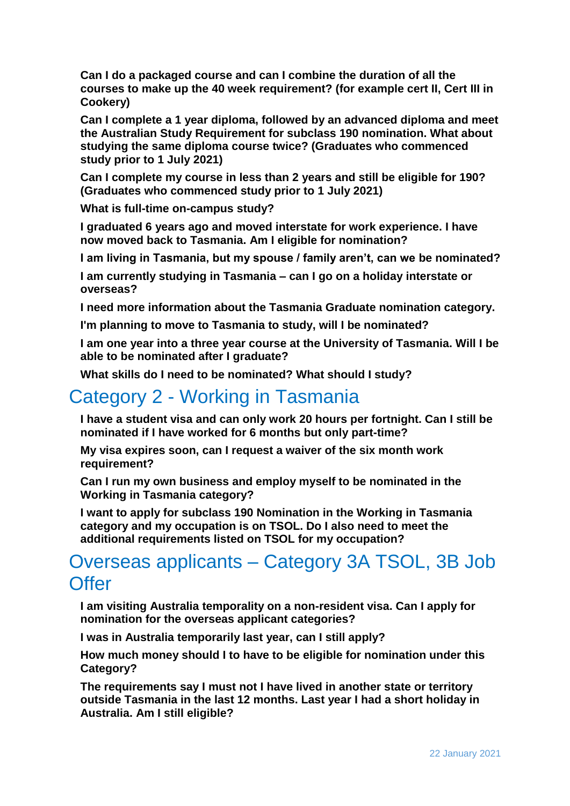**[Can I do a packaged course and can I combine the duration of all the](#page-8-1)  [courses to make up the 40 week requirement? \(for example cert II, Cert III in](#page-8-1)  [Cookery\)](#page-8-1)**

**[Can I complete a 1 year diploma, followed by an advanced diploma and meet](#page-8-2)  [the Australian Study Requirement for subclass 190 nomination. What about](#page-8-2)  [studying the same diploma course twice? \(Graduates who commenced](#page-8-2)  [study prior to 1 July 2021\)](#page-8-2)**

**[Can I complete my course in less than 2 years and still be eligible for 190?](#page-8-3)  [\(Graduates who commenced study prior to 1 July 2021\)](#page-8-3)**

**[What is full-time on-campus study?](#page-9-0)**

**[I graduated 6 years ago and moved interstate for work experience. I have](#page-9-1)  [now moved back to Tasmania. Am I eligible for nomination?](#page-9-1)**

**[I am living in Tasmania, but my spouse / family aren't, can we be nominated?](#page-9-2)**

**[I am currently studying in Tasmania –](#page-10-0) can I go on a holiday interstate or [overseas?](#page-10-0)**

**[I need more information about the Tasmania Graduate nomination category.](#page-10-1)**

**[I'm planning to move to Tasmania to study, will I be nominated?](#page-10-2)**

**[I am one year into a three year course at the University of Tasmania. Will I be](#page-10-3)  [able to be nominated after I graduate?](#page-10-3)**

**[What skills do I need to be nominated? What should I study?](#page-10-4)**

# Category 2 - [Working in Tasmania](#page-10-5)

**[I have a student visa and can only work 20 hours per fortnight. Can I still be](#page-10-6)  [nominated if I have worked for 6 months but only part-time?](#page-10-6)**

**[My visa expires soon, can I request a waiver of the six month work](#page-11-0)  [requirement?](#page-11-0)**

**[Can I run my own business and employ myself to be nominated in the](#page-11-1)  [Working in Tasmania category?](#page-11-1)**

**[I want to apply for subclass 190 Nomination in the Working in Tasmania](#page-11-2)  [category and my occupation is on TSOL. Do I also need to meet the](#page-11-2)  [additional requirements listed on TSOL for my occupation?](#page-11-2)**

# Overseas applicants – [Category 3A TSOL, 3B Job](#page-11-3)  **[Offer](#page-11-3)**

**[I am visiting Australia temporality on a non-resident visa. Can I apply for](#page-11-4)  [nomination for the overseas applicant categories?](#page-11-4)**

**[I was in Australia temporarily last year, can I still apply?](#page-11-5)**

**[How much money should I to have to be eligible for nomination under this](#page-12-0)  [Category?](#page-12-0)**

**The requirements say I must not [I have lived in another state or territory](#page-12-1)  [outside Tasmania in the last 12 months. Last year I had a short holiday in](#page-12-1)  [Australia. Am I still eligible?](#page-12-1)**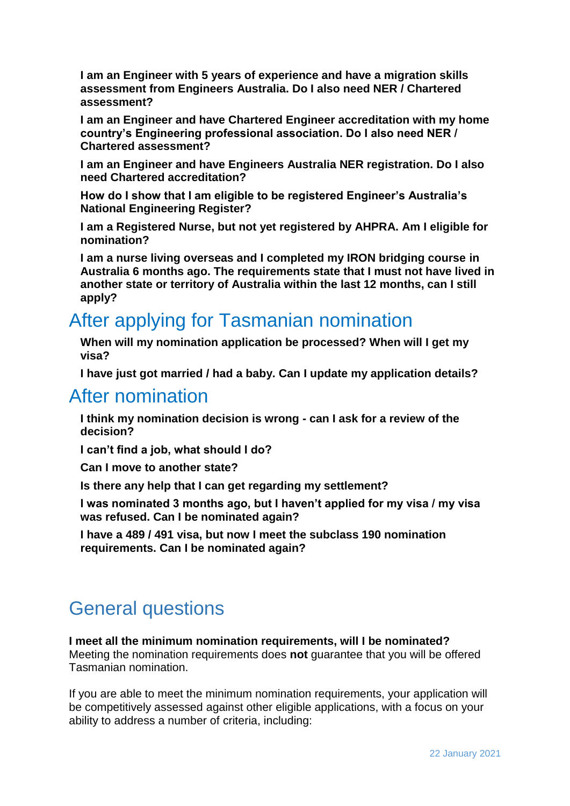**[I am an Engineer with 5 years of experience and have a migration skills](#page-12-2)  [assessment from Engineers Australia. Do I also need NER / Chartered](#page-12-2)  [assessment?](#page-12-2)**

**[I am an Engineer and have Chartered Engineer accreditation with my home](#page-13-0)  [country's Engineering professional association. Do I also need NER /](#page-13-0)  [Chartered assessment?](#page-13-0)**

**[I am an Engineer and have Engineers Australia NER registration. Do I also](#page-13-1)  [need Chartered accreditation?](#page-13-1)**

**[How do I show that I am eligible to be registered Engineer's Australia's](#page-13-2)  [National Engineering Register?](#page-13-2)**

**[I am a Registered Nurse, but not yet registered by AHPRA. Am I eligible for](#page-14-0)  [nomination?](#page-14-0)**

**[I am a nurse living overseas and I completed my IRON bridging course in](#page-14-1)  [Australia 6 months ago. The requirements state that I must not have lived in](#page-14-1)  [another state or territory of Australia within the last 12 months, can I still](#page-14-1)  [apply?](#page-14-1)**

# [After applying for Tasmanian nomination](#page-14-2)

**[When will my nomination application be processed? When will I get my](#page-14-3)  [visa?](#page-14-3)**

**[I have just got married / had a baby. Can I update my application details?](#page-14-4)**

## [After nomination](#page-15-0)

**[I think my nomination decision is wrong -](#page-15-1) can I ask for a review of the [decision?](#page-15-1)**

**[I can't find a job, what should I do?](#page-15-2)**

**[Can I move to another state?](#page-16-0)**

**[Is there any help that I can get regarding my settlement?](#page-16-1)**

**[I was nominated 3 months ago, but I haven't applied for my visa / my visa](#page-17-0)  [was refused. Can I be nominated again?](#page-17-0)**

**[I have a 489 / 491 visa, but now I meet the subclass 190 nomination](#page-17-1)  [requirements. Can I be nominated again?](#page-17-1)**

# <span id="page-2-0"></span>General questions

#### <span id="page-2-1"></span>**I meet all the minimum nomination requirements, will I be nominated?**

Meeting the nomination requirements does **not** guarantee that you will be offered Tasmanian nomination.

If you are able to meet the minimum nomination requirements, your application will be competitively assessed against other eligible applications, with a focus on your ability to address a number of criteria, including: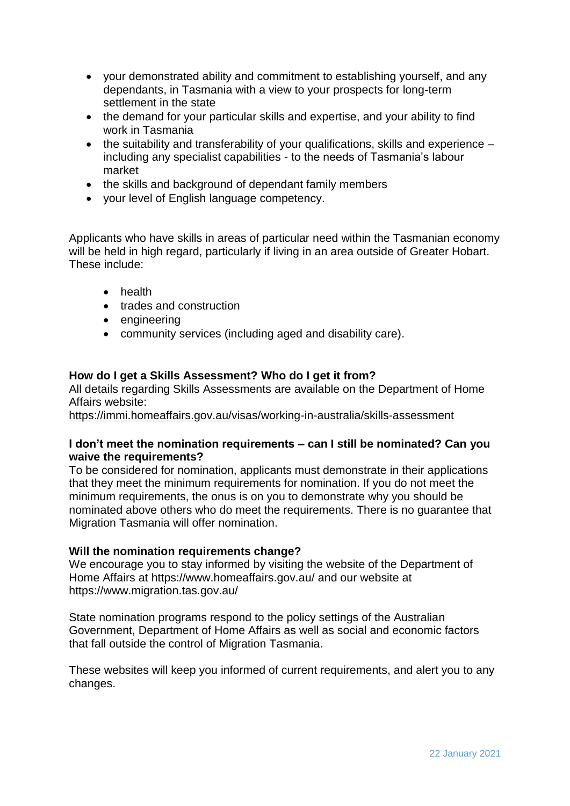- your demonstrated ability and commitment to establishing yourself, and any dependants, in Tasmania with a view to your prospects for long-term settlement in the state
- the demand for your particular skills and expertise, and your ability to find work in Tasmania
- the suitability and transferability of your qualifications, skills and experience including any specialist capabilities - to the needs of Tasmania's labour market
- the skills and background of dependant family members
- your level of English language competency.

Applicants who have skills in areas of particular need within the Tasmanian economy will be held in high regard, particularly if living in an area outside of Greater Hobart. These include:

- **•** health
- trades and construction
- engineering
- community services (including aged and disability care).

#### <span id="page-3-0"></span>**How do I get a Skills Assessment? Who do I get it from?**

All details regarding Skills Assessments are available on the Department of Home Affairs website:

<https://immi.homeaffairs.gov.au/visas/working-in-australia/skills-assessment>

#### <span id="page-3-1"></span>**I don't meet the nomination requirements – can I still be nominated? Can you waive the requirements?**

To be considered for nomination, applicants must demonstrate in their applications that they meet the minimum requirements for nomination. If you do not meet the minimum requirements, the onus is on you to demonstrate why you should be nominated above others who do meet the requirements. There is no guarantee that Migration Tasmania will offer nomination.

#### <span id="page-3-2"></span>**Will the nomination requirements change?**

We encourage you to stay informed by visiting the website of the Department of Home Affairs at<https://www.homeaffairs.gov.au/> and our website at <https://www.migration.tas.gov.au/>

State nomination programs respond to the policy settings of the Australian Government, Department of Home Affairs as well as social and economic factors that fall outside the control of Migration Tasmania.

These websites will keep you informed of current requirements, and alert you to any changes.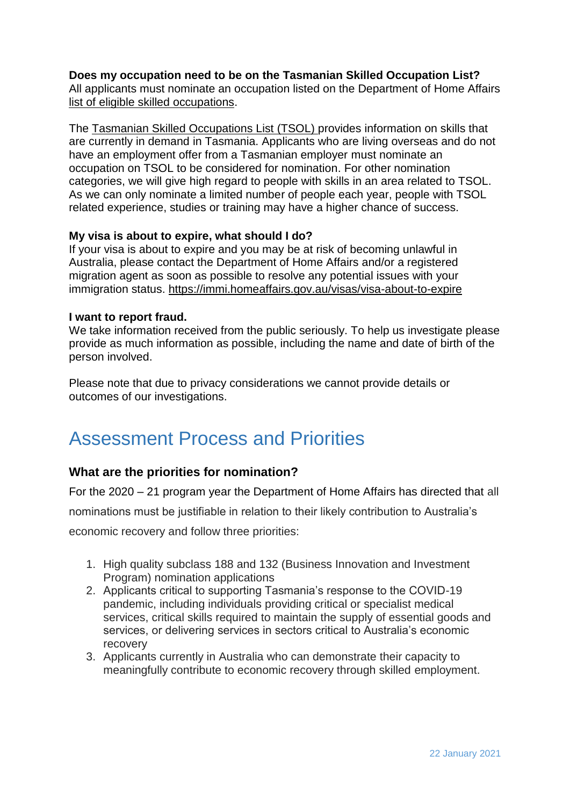#### <span id="page-4-0"></span>**Does my occupation need to be on the Tasmanian Skilled Occupation List?**

All applicants must nominate an occupation listed on the Department of Home Affairs [list of eligible skilled occupations.](https://www.homeaffairs.gov.au/Trav/Work/Work/Skills-assessment-and-assessing-authorities/skilled-occupations-lists)

The [Tasmanian Skilled Occupations List](https://www.migration.tas.gov.au/__data/assets/pdf_file/0009/147267/Tasmanian_Skilled_Occupations_List_TSOL_Jan_2019_update.pdf) (TSOL) provides information on skills that are currently in demand in Tasmania. Applicants who are living overseas and do not have an employment offer from a Tasmanian employer must nominate an occupation on TSOL to be considered for nomination. For other nomination categories, we will give high regard to people with skills in an area related to TSOL. As we can only nominate a limited number of people each year, people with TSOL related experience, studies or training may have a higher chance of success.

#### <span id="page-4-1"></span>**My visa is about to expire, what should I do?**

If your visa is about to expire and you may be at risk of becoming unlawful in Australia, please contact the Department of Home Affairs and/or a registered migration agent as soon as possible to resolve any potential issues with your immigration status. <https://immi.homeaffairs.gov.au/visas/visa-about-to-expire>

#### <span id="page-4-2"></span>**I want to report fraud.**

We take information received from the public seriously. To help us investigate please provide as much information as possible, including the name and date of birth of the person involved.

Please note that due to privacy considerations we cannot provide details or outcomes of our investigations.

# <span id="page-4-3"></span>Assessment Process and Priorities

### <span id="page-4-4"></span>**What are the priorities for nomination?**

For the 2020 – 21 program year the Department of Home Affairs has directed that all

nominations must be justifiable in relation to their likely contribution to Australia's

economic recovery and follow three priorities:

- 1. High quality subclass 188 and 132 (Business Innovation and Investment Program) nomination applications
- 2. Applicants critical to supporting Tasmania's response to the COVID-19 pandemic, including individuals providing critical or specialist medical services, critical skills required to maintain the supply of essential goods and services, or delivering services in sectors critical to Australia's economic recovery
- 3. Applicants currently in Australia who can demonstrate their capacity to meaningfully contribute to economic recovery through skilled employment.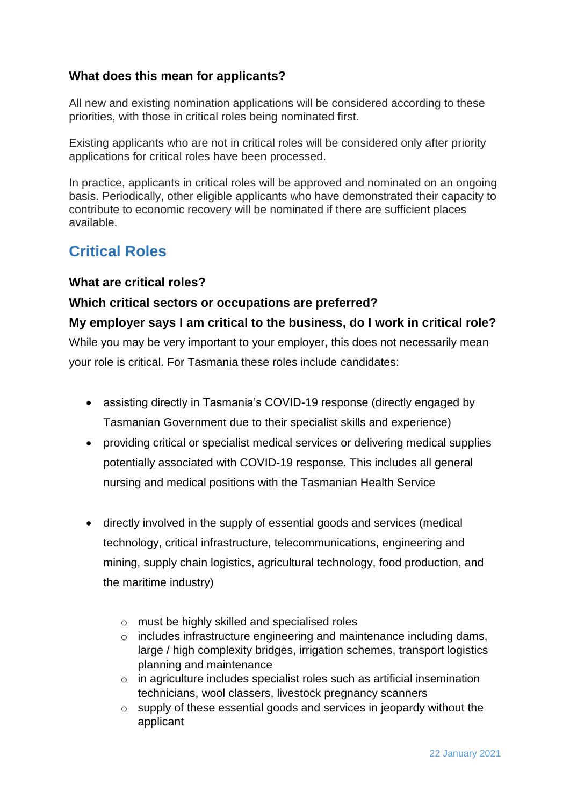### <span id="page-5-0"></span>**What does this mean for applicants?**

All new and existing nomination applications will be considered according to these priorities, with those in critical roles being nominated first.

Existing applicants who are not in critical roles will be considered only after priority applications for critical roles have been processed.

In practice, applicants in critical roles will be approved and nominated on an ongoing basis. Periodically, other eligible applicants who have demonstrated their capacity to contribute to economic recovery will be nominated if there are sufficient places available.

### <span id="page-5-1"></span>**Critical Roles**

#### <span id="page-5-2"></span>**What are critical roles?**

### <span id="page-5-3"></span>**Which critical sectors or occupations are preferred?**

<span id="page-5-4"></span>**My employer says I am critical to the business, do I work in critical role?** While you may be very important to your employer, this does not necessarily mean your role is critical. For Tasmania these roles include candidates:

- assisting directly in Tasmania's COVID-19 response (directly engaged by Tasmanian Government due to their specialist skills and experience)
- providing critical or specialist medical services or delivering medical supplies potentially associated with COVID-19 response. This includes all general nursing and medical positions with the Tasmanian Health Service
- directly involved in the supply of essential goods and services (medical technology, critical infrastructure, telecommunications, engineering and mining, supply chain logistics, agricultural technology, food production, and the maritime industry)
	- o must be highly skilled and specialised roles
	- o includes infrastructure engineering and maintenance including dams, large / high complexity bridges, irrigation schemes, transport logistics planning and maintenance
	- o in agriculture includes specialist roles such as artificial insemination technicians, wool classers, livestock pregnancy scanners
	- o supply of these essential goods and services in jeopardy without the applicant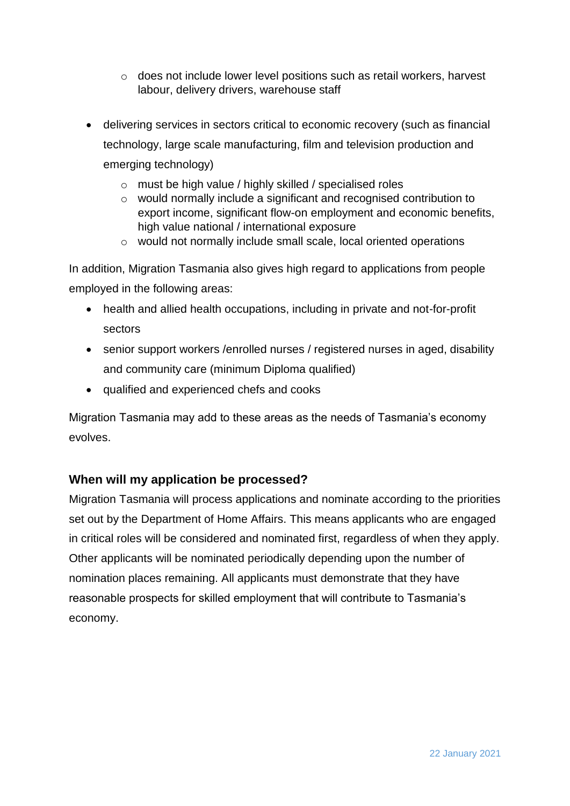- o does not include lower level positions such as retail workers, harvest labour, delivery drivers, warehouse staff
- delivering services in sectors critical to economic recovery (such as financial technology, large scale manufacturing, film and television production and emerging technology)
	- o must be high value / highly skilled / specialised roles
	- o would normally include a significant and recognised contribution to export income, significant flow-on employment and economic benefits, high value national / international exposure
	- o would not normally include small scale, local oriented operations

In addition, Migration Tasmania also gives high regard to applications from people employed in the following areas:

- health and allied health occupations, including in private and not-for-profit sectors
- senior support workers /enrolled nurses / registered nurses in aged, disability and community care (minimum Diploma qualified)
- qualified and experienced chefs and cooks

Migration Tasmania may add to these areas as the needs of Tasmania's economy evolves.

### <span id="page-6-0"></span>**When will my application be processed?**

Migration Tasmania will process applications and nominate according to the priorities set out by the Department of Home Affairs. This means applicants who are engaged in critical roles will be considered and nominated first, regardless of when they apply. Other applicants will be nominated periodically depending upon the number of nomination places remaining. All applicants must demonstrate that they have reasonable prospects for skilled employment that will contribute to Tasmania's economy.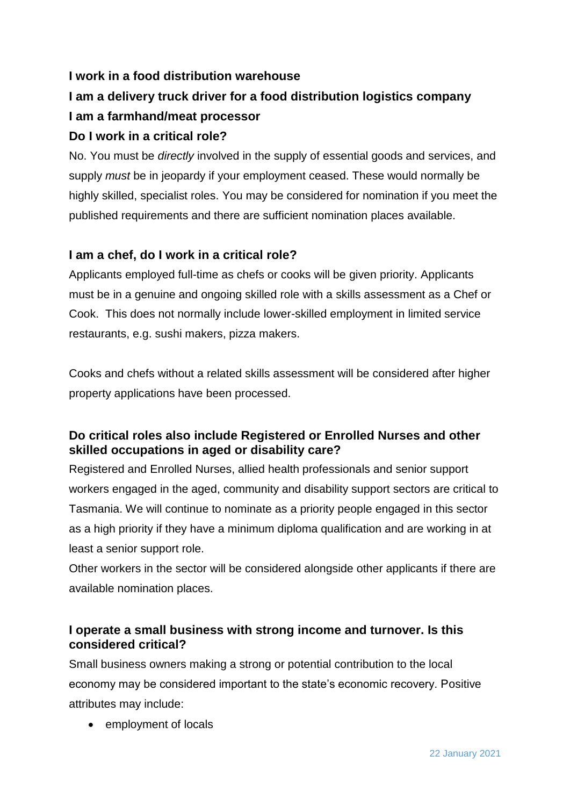### <span id="page-7-0"></span>**I work in a food distribution warehouse**

# <span id="page-7-2"></span><span id="page-7-1"></span>**I am a delivery truck driver for a food distribution logistics company I am a farmhand/meat processor**

### <span id="page-7-3"></span>**Do I work in a critical role?**

No. You must be *directly* involved in the supply of essential goods and services, and supply *must* be in jeopardy if your employment ceased. These would normally be highly skilled, specialist roles. You may be considered for nomination if you meet the published requirements and there are sufficient nomination places available.

### <span id="page-7-4"></span>**I am a chef, do I work in a critical role?**

Applicants employed full-time as chefs or cooks will be given priority. Applicants must be in a genuine and ongoing skilled role with a skills assessment as a Chef or Cook. This does not normally include lower-skilled employment in limited service restaurants, e.g. sushi makers, pizza makers.

Cooks and chefs without a related skills assessment will be considered after higher property applications have been processed.

### <span id="page-7-5"></span>**Do critical roles also include Registered or Enrolled Nurses and other skilled occupations in aged or disability care?**

Registered and Enrolled Nurses, allied health professionals and senior support workers engaged in the aged, community and disability support sectors are critical to Tasmania. We will continue to nominate as a priority people engaged in this sector as a high priority if they have a minimum diploma qualification and are working in at least a senior support role.

Other workers in the sector will be considered alongside other applicants if there are available nomination places.

### <span id="page-7-6"></span>**I operate a small business with strong income and turnover. Is this considered critical?**

Small business owners making a strong or potential contribution to the local economy may be considered important to the state's economic recovery. Positive attributes may include:

employment of locals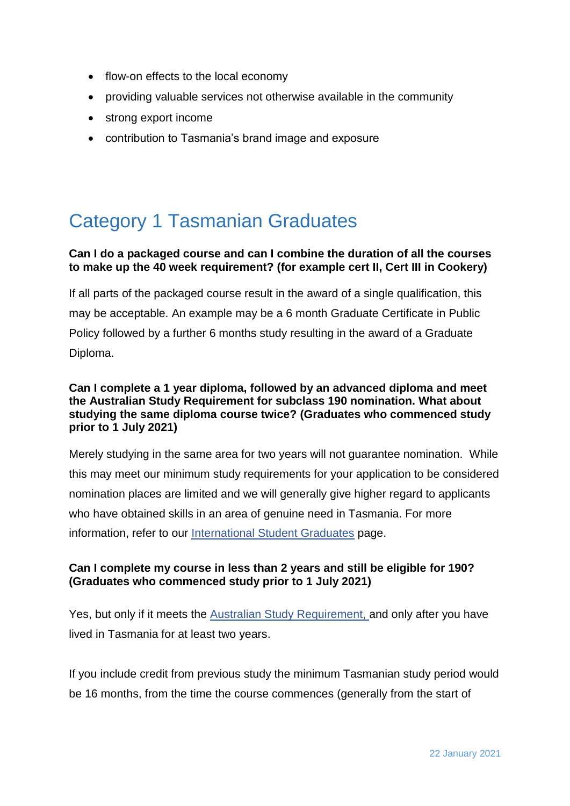- flow-on effects to the local economy
- providing valuable services not otherwise available in the community
- strong export income
- contribution to Tasmania's brand image and exposure

# <span id="page-8-0"></span>Category 1 Tasmanian Graduates

#### <span id="page-8-1"></span>**Can I do a packaged course and can I combine the duration of all the courses to make up the 40 week requirement? (for example cert II, Cert III in Cookery)**

If all parts of the packaged course result in the award of a single qualification, this may be acceptable. An example may be a 6 month Graduate Certificate in Public Policy followed by a further 6 months study resulting in the award of a Graduate Diploma.

#### <span id="page-8-2"></span>**Can I complete a 1 year diploma, followed by an advanced diploma and meet the Australian Study Requirement for subclass 190 nomination. What about studying the same diploma course twice? (Graduates who commenced study prior to 1 July 2021)**

Merely studying in the same area for two years will not guarantee nomination. While this may meet our minimum study requirements for your application to be considered nomination places are limited and we will generally give higher regard to applicants who have obtained skills in an area of genuine need in Tasmania. For more information, refer to our [International Student Graduates](https://www.migration.tas.gov.au/graduates) page.

#### <span id="page-8-3"></span>**Can I complete my course in less than 2 years and still be eligible for 190? (Graduates who commenced study prior to 1 July 2021)**

Yes, but only if it meets the [Australian Study Requirement,](https://immi.homeaffairs.gov.au/visas/getting-a-visa/visa-listing/temporary-graduate-485/australian-study-requirement) and only after you have lived in Tasmania for at least two years.

If you include credit from previous study the minimum Tasmanian study period would be 16 months, from the time the course commences (generally from the start of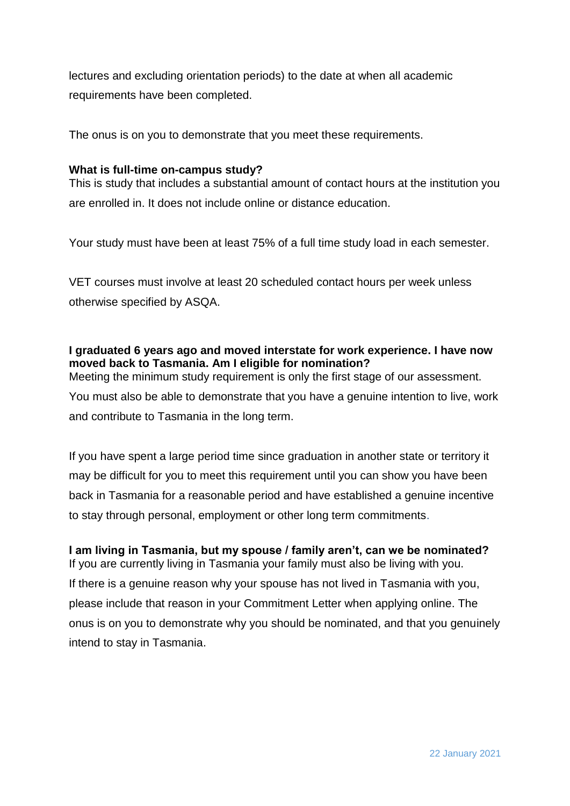lectures and excluding orientation periods) to the date at when all academic requirements have been completed.

The onus is on you to demonstrate that you meet these requirements.

#### <span id="page-9-0"></span>**What is full-time on-campus study?**

This is study that includes a substantial amount of contact hours at the institution you are enrolled in. It does not include online or distance education.

Your study must have been at least 75% of a full time study load in each semester.

VET courses must involve at least 20 scheduled contact hours per week unless otherwise specified by ASQA.

#### <span id="page-9-1"></span>**I graduated 6 years ago and moved interstate for work experience. I have now moved back to Tasmania. Am I eligible for nomination?**

Meeting the minimum study requirement is only the first stage of our assessment. You must also be able to demonstrate that you have a genuine intention to live, work and contribute to Tasmania in the long term.

If you have spent a large period time since graduation in another state or territory it may be difficult for you to meet this requirement until you can show you have been back in Tasmania for a reasonable period and have established a genuine incentive to stay through personal, employment or other long term commitments.

<span id="page-9-2"></span>**I am living in Tasmania, but my spouse / family aren't, can we be nominated?** If you are currently living in Tasmania your family must also be living with you. If there is a genuine reason why your spouse has not lived in Tasmania with you, please include that reason in your Commitment Letter when applying online. The onus is on you to demonstrate why you should be nominated, and that you genuinely intend to stay in Tasmania.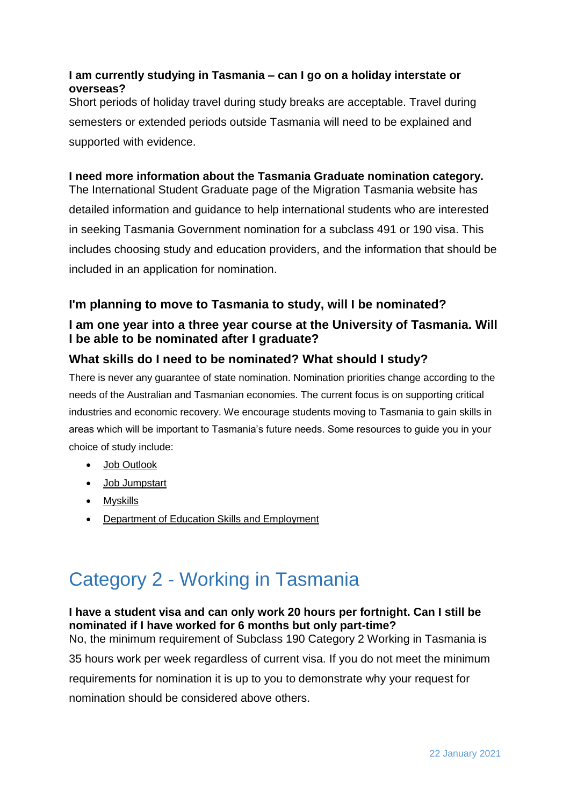#### <span id="page-10-0"></span>**I am currently studying in Tasmania – can I go on a holiday interstate or overseas?**

Short periods of holiday travel during study breaks are acceptable. Travel during semesters or extended periods outside Tasmania will need to be explained and supported with evidence.

### <span id="page-10-1"></span>**I need more information about the Tasmania Graduate nomination category.**

The International Student Graduate page of the Migration Tasmania website has detailed information and guidance to help international students who are interested in seeking Tasmania Government nomination for a subclass 491 or 190 visa. This includes choosing study and education providers, and the information that should be included in an application for nomination.

### <span id="page-10-2"></span>**I'm planning to move to Tasmania to study, will I be nominated?**

### <span id="page-10-3"></span>**I am one year into a three year course at the University of Tasmania. Will I be able to be nominated after I graduate?**

### <span id="page-10-4"></span>**What skills do I need to be nominated? What should I study?**

There is never any guarantee of state nomination. Nomination priorities change according to the needs of the Australian and Tasmanian economies. The current focus is on supporting critical industries and economic recovery. We encourage students moving to Tasmania to gain skills in areas which will be important to Tasmania's future needs. Some resources to guide you in your choice of study include:

- [Job Outlook](https://joboutlook.gov.au/)
- [Job Jumpstart](https://www.jobjumpstart.gov.au/)
- [Myskills](https://www.myskills.gov.au/)
- [Department of Education Skills and Employment](https://www.employment.gov.au/employment-research-and-statistics)

# <span id="page-10-5"></span>Category 2 - Working in Tasmania

## <span id="page-10-6"></span>**I have a student visa and can only work 20 hours per fortnight. Can I still be nominated if I have worked for 6 months but only part-time?** No, the minimum requirement of Subclass 190 Category 2 Working in Tasmania is 35 hours work per week regardless of current visa. If you do not meet the minimum requirements for nomination it is up to you to demonstrate why your request for

nomination should be considered above others.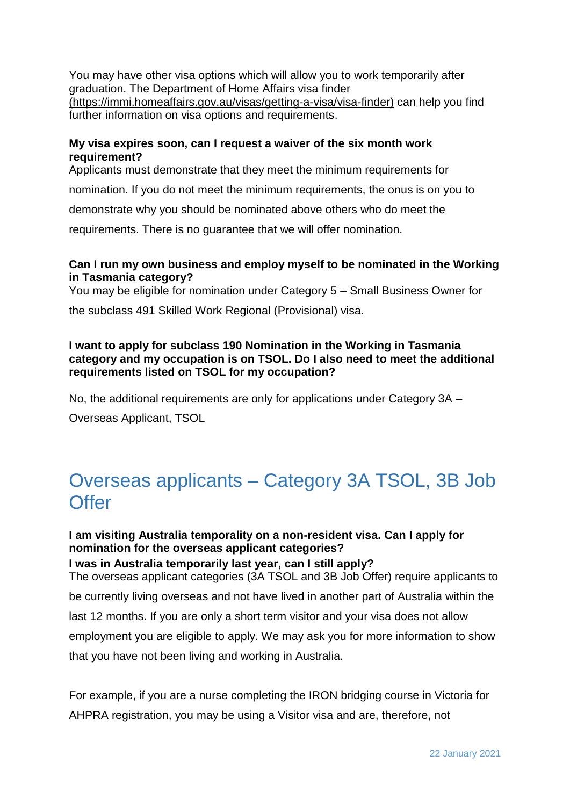You may have other visa options which will allow you to work temporarily after graduation. The Department of Home Affairs visa finder [\(https://immi.homeaffairs.gov.au/visas/getting-a-visa/visa-finder\)](https://immi.homeaffairs.gov.au/visas/getting-a-visa/visa-finder) can help you find further information on visa options and requirements.

#### <span id="page-11-0"></span>**My visa expires soon, can I request a waiver of the six month work requirement?**

Applicants must demonstrate that they meet the minimum requirements for

nomination. If you do not meet the minimum requirements, the onus is on you to

demonstrate why you should be nominated above others who do meet the

requirements. There is no guarantee that we will offer nomination.

#### <span id="page-11-1"></span>**Can I run my own business and employ myself to be nominated in the Working in Tasmania category?**

You may be eligible for nomination under Category 5 – Small Business Owner for

the subclass 491 Skilled Work Regional (Provisional) visa.

#### <span id="page-11-2"></span>**I want to apply for subclass 190 Nomination in the Working in Tasmania category and my occupation is on TSOL. Do I also need to meet the additional requirements listed on TSOL for my occupation?**

No, the additional requirements are only for applications under Category 3A – Overseas Applicant, TSOL

# <span id="page-11-3"></span>Overseas applicants – Category 3A TSOL, 3B Job **Offer**

### <span id="page-11-4"></span>**I am visiting Australia temporality on a non-resident visa. Can I apply for nomination for the overseas applicant categories?**

<span id="page-11-5"></span>**I was in Australia temporarily last year, can I still apply?** The overseas applicant categories (3A TSOL and 3B Job Offer) require applicants to be currently living overseas and not have lived in another part of Australia within the last 12 months. If you are only a short term visitor and your visa does not allow employment you are eligible to apply. We may ask you for more information to show that you have not been living and working in Australia.

For example, if you are a nurse completing the IRON bridging course in Victoria for AHPRA registration, you may be using a Visitor visa and are, therefore, not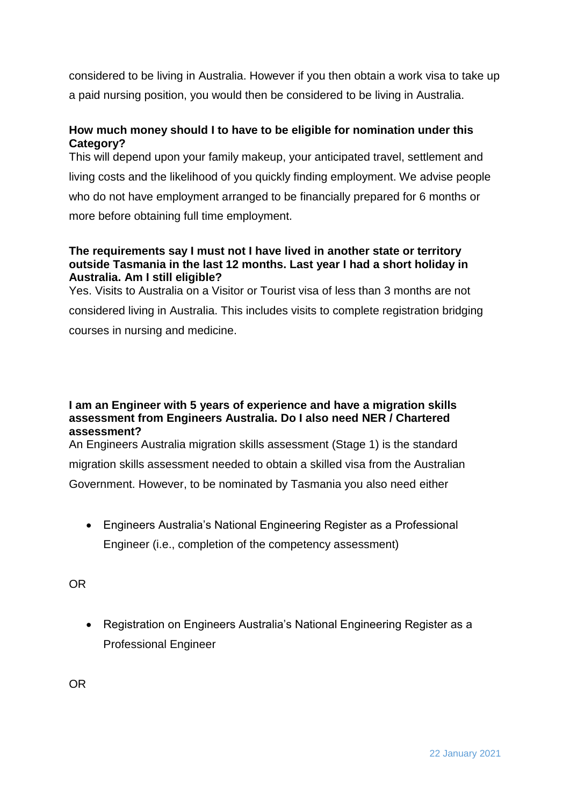considered to be living in Australia. However if you then obtain a work visa to take up a paid nursing position, you would then be considered to be living in Australia.

#### <span id="page-12-0"></span>**How much money should I to have to be eligible for nomination under this Category?**

This will depend upon your family makeup, your anticipated travel, settlement and living costs and the likelihood of you quickly finding employment. We advise people who do not have employment arranged to be financially prepared for 6 months or more before obtaining full time employment.

#### <span id="page-12-1"></span>**The requirements say I must not I have lived in another state or territory outside Tasmania in the last 12 months. Last year I had a short holiday in Australia. Am I still eligible?**

Yes. Visits to Australia on a Visitor or Tourist visa of less than 3 months are not considered living in Australia. This includes visits to complete registration bridging courses in nursing and medicine.

#### <span id="page-12-2"></span>**I am an Engineer with 5 years of experience and have a migration skills assessment from Engineers Australia. Do I also need NER / Chartered assessment?**

An Engineers Australia migration skills assessment (Stage 1) is the standard migration skills assessment needed to obtain a skilled visa from the Australian Government. However, to be nominated by Tasmania you also need either

 Engineers Australia's National Engineering Register as a Professional Engineer (i.e., completion of the competency assessment)

OR

 Registration on Engineers Australia's National Engineering Register as a Professional Engineer

OR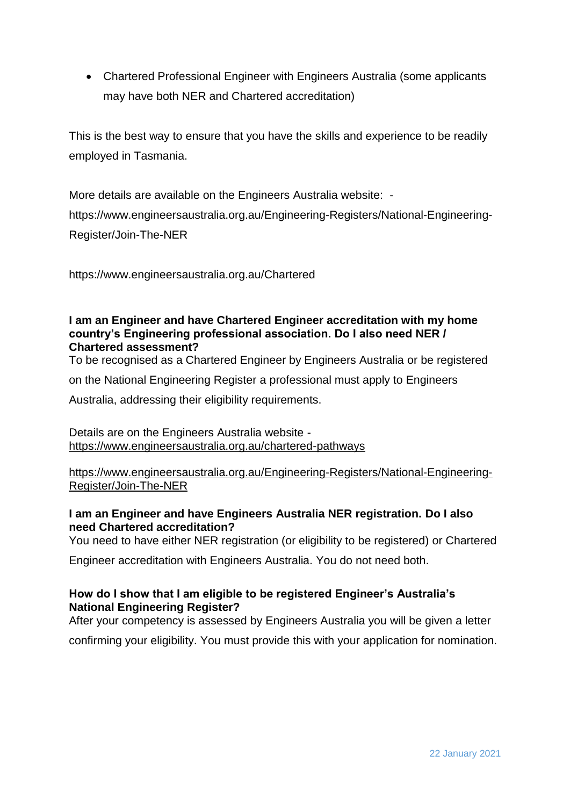Chartered Professional Engineer with Engineers Australia (some applicants may have both NER and Chartered accreditation)

This is the best way to ensure that you have the skills and experience to be readily employed in Tasmania.

More details are available on the Engineers Australia website: [https://www.engineersaustralia.org.au/Engineering-Registers/National-Engineering-](https://www.engineersaustralia.org.au/Engineering-Registers/National-Engineering-Register/Join-The-NER)[Register/Join-The-NER](https://www.engineersaustralia.org.au/Engineering-Registers/National-Engineering-Register/Join-The-NER)

<https://www.engineersaustralia.org.au/Chartered>

#### <span id="page-13-0"></span>**I am an Engineer and have Chartered Engineer accreditation with my home country's Engineering professional association. Do I also need NER / Chartered assessment?**

To be recognised as a Chartered Engineer by Engineers Australia or be registered

on the National Engineering Register a professional must apply to Engineers

Australia, addressing their eligibility requirements.

Details are on the Engineers Australia website <https://www.engineersaustralia.org.au/chartered-pathways>

[https://www.engineersaustralia.org.au/Engineering-Registers/National-Engineering-](https://www.engineersaustralia.org.au/Engineering-Registers/National-Engineering-Register/Join-The-NER)[Register/Join-The-NER](https://www.engineersaustralia.org.au/Engineering-Registers/National-Engineering-Register/Join-The-NER)

#### <span id="page-13-1"></span>**I am an Engineer and have Engineers Australia NER registration. Do I also need Chartered accreditation?**

You need to have either NER registration (or eligibility to be registered) or Chartered

Engineer accreditation with Engineers Australia. You do not need both.

#### <span id="page-13-2"></span>**How do I show that I am eligible to be registered Engineer's Australia's National Engineering Register?**

After your competency is assessed by Engineers Australia you will be given a letter

confirming your eligibility. You must provide this with your application for nomination.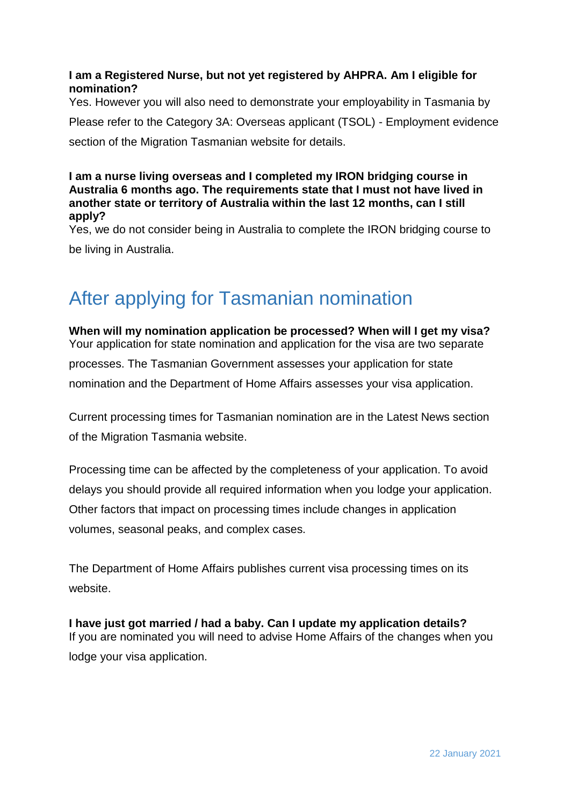#### <span id="page-14-0"></span>**I am a Registered Nurse, but not yet registered by AHPRA. Am I eligible for nomination?**

Yes. However you will also need to demonstrate your employability in Tasmania by Please refer to the [Category 3A: Overseas applicant \(TSOL\) -](https://www.migration.tas.gov.au/skilled_migrants/skilled_regional) Employment evidence section of the Migration Tasmanian website for details.

<span id="page-14-1"></span>**I am a nurse living overseas and I completed my IRON bridging course in Australia 6 months ago. The requirements state that I must not have lived in another state or territory of Australia within the last 12 months, can I still apply?**

Yes, we do not consider being in Australia to complete the IRON bridging course to be living in Australia.

# <span id="page-14-2"></span>After applying for Tasmanian nomination

<span id="page-14-3"></span>**When will my nomination application be processed? When will I get my visa?** Your application for state nomination and application for the visa are two separate processes. The Tasmanian Government assesses your application for state nomination and the Department of Home Affairs assesses your visa application.

Current processing times for Tasmanian nomination are in the Latest News section of the [Migration Tasmania](https://www.migration.tas.gov.au/__data/assets/pdf_file/0009/147267/Tasmanian_Skilled_Occupations_List_TSOL_Jan_2019_update.pdf) website.

Processing time can be affected by the completeness of your application. To avoid delays you should provide all required information when you lodge your application. Other factors that impact on processing times include changes in application volumes, seasonal peaks, and complex cases.

The Department of Home Affairs publishes current visa processing times on its [website.](https://immi.homeaffairs.gov.au/visas/getting-a-visa/visa-processing-times)

<span id="page-14-4"></span>**I have just got married / had a baby. Can I update my application details?** If you are nominated you will need to advise Home Affairs of the changes when you lodge your visa application.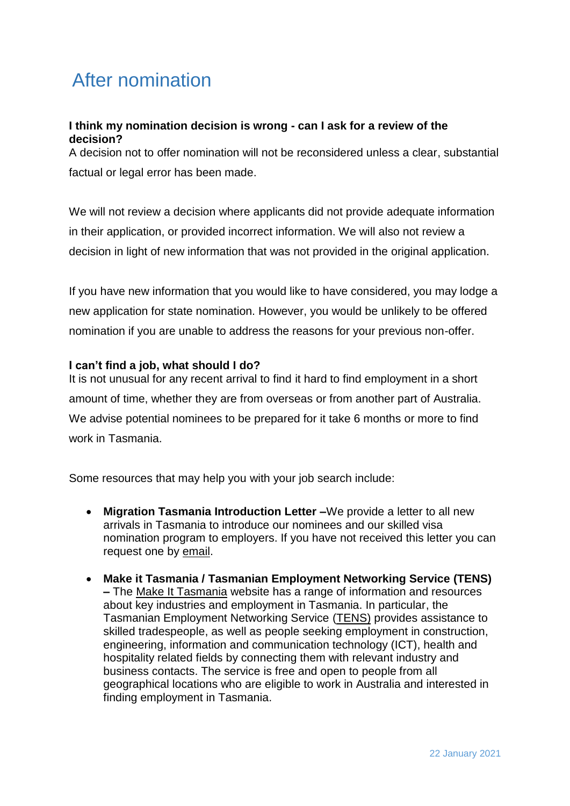# <span id="page-15-0"></span>After nomination

#### <span id="page-15-1"></span>**I think my nomination decision is wrong - can I ask for a review of the decision?**

A decision not to offer nomination will not be reconsidered unless a clear, substantial factual or legal error has been made.

We will not review a decision where applicants did not provide adequate information in their application, or provided incorrect information. We will also not review a decision in light of new information that was not provided in the original application.

If you have new information that you would like to have considered, you may lodge a new application for state nomination. However, you would be unlikely to be offered nomination if you are unable to address the reasons for your previous non-offer.

#### <span id="page-15-2"></span>**I can't find a job, what should I do?**

It is not unusual for any recent arrival to find it hard to find employment in a short amount of time, whether they are from overseas or from another part of Australia. We advise potential nominees to be prepared for it take 6 months or more to find work in Tasmania.

Some resources that may help you with your job search include:

- **Migration Tasmania Introduction Letter –**We provide a letter to all new arrivals in Tasmania to introduce our nominees and our skilled visa nomination program to employers. If you have not received this letter you can request one by [email.](mailto:skilled@migration.tas.gov.au)
- **Make it Tasmania / Tasmanian Employment Networking Service (TENS) –** The [Make It Tasmania](https://www.makeittasmania.com.au/employment/) website has a range of information and resources about key industries and employment in Tasmania. In particular, the Tasmanian Employment Networking Service [\(TENS\)](https://www.makeittasmania.com.au/tasmanian-employment-networking-service-tens/) provides assistance to skilled tradespeople, as well as people seeking employment in construction, engineering, information and communication technology (ICT), health and hospitality related fields by connecting them with relevant industry and business contacts. The service is free and open to people from all geographical locations who are eligible to work in Australia and interested in finding employment in Tasmania.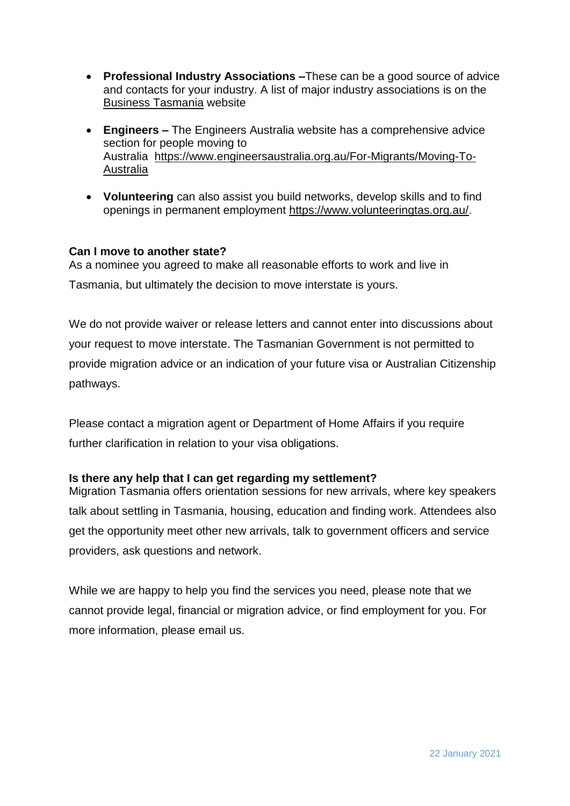- **Professional Industry Associations –**These can be a good source of advice and contacts for your industry. A list of major industry associations is on the [Business Tasmania](https://www.business.tas.gov.au/starting-a-business/industry-associations-and-networks/industry-associations-in-tasmania) website
- **Engineers –** The Engineers Australia website has a comprehensive advice section for people moving to Australia [https://www.engineersaustralia.org.au/For-Migrants/Moving-To-](https://www.engineersaustralia.org.au/For-Migrants/Moving-To-Australia)[Australia](https://www.engineersaustralia.org.au/For-Migrants/Moving-To-Australia)
- **Volunteering** can also assist you build networks, develop skills and to find openings in permanent employment [https://www.volunteeringtas.org.au/.](https://www.volunteeringtas.org.au/)

#### <span id="page-16-0"></span>**Can I move to another state?**

As a nominee you agreed to make all reasonable efforts to work and live in Tasmania, but ultimately the decision to move interstate is yours.

We do not provide waiver or release letters and cannot enter into discussions about your request to move interstate. The Tasmanian Government is not permitted to provide migration advice or an indication of your future visa or Australian Citizenship pathways.

Please contact a migration agent or Department of Home Affairs if you require further clarification in relation to your visa obligations.

#### <span id="page-16-1"></span>**Is there any help that I can get regarding my settlement?**

Migration Tasmania offers orientation sessions for new arrivals, where key speakers talk about settling in Tasmania, housing, education and finding work. Attendees also get the opportunity meet other new arrivals, talk to government officers and service providers, ask questions and network.

While we are happy to help you find the services you need, please note that we cannot provide legal, financial or migration advice, or find employment for you. For more information, please [email](mailto:skilled@migration.tas.gov.au) us.